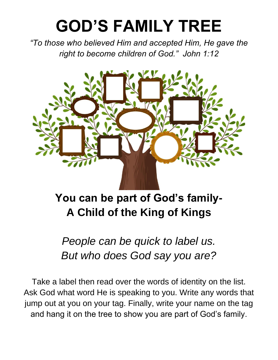## **GOD'S FAMILY TREE**

*"To those who believed Him and accepted Him, He gave the right to become children of God." John 1:12*



**You can be part of God's family-A Child of the King of Kings**

*People can be quick to label us. But who does God say you are?*

Take a label then read over the words of identity on the list. Ask God what word He is speaking to you. Write any words that jump out at you on your tag. Finally, write your name on the tag and hang it on the tree to show you are part of God's family.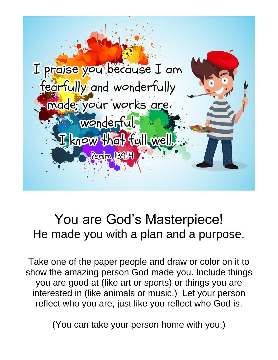

## You are God's Masterpiece! He made you with a plan and a purpose.

Take one of the paper people and draw or color on it to show the amazing person God made you. Include things you are good at (like art or sports) or things you are interested in (like animals or music.) Let your person reflect who you are, just like you reflect who God is.

(You can take your person home with you.)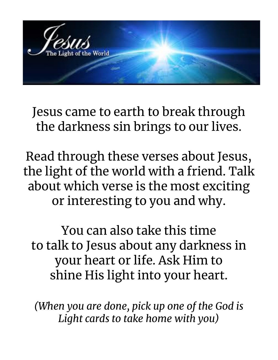

Jesus came to earth to break through the darkness sin brings to our lives.

Read through these verses about Jesus, the light of the world with a friend. Talk about which verse is the most exciting or interesting to you and why.

You can also take this time to talk to Jesus about any darkness in your heart or life. Ask Him to shine His light into your heart.

*(When you are done, pick up one of the God is Light cards to take home with you)*